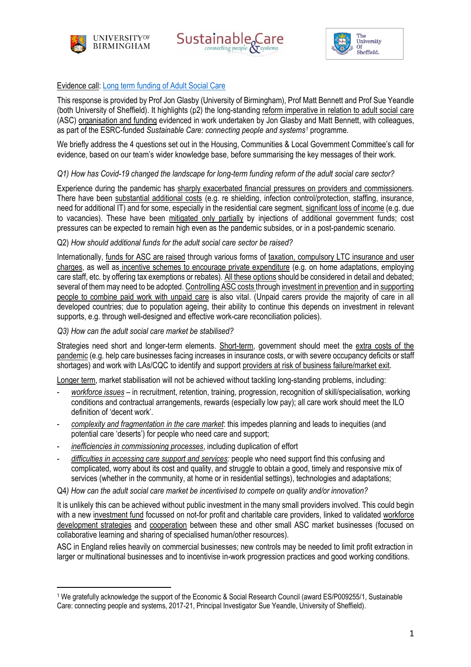





## Evidence call: [Long term funding of Adult Social Care](https://committees.parliament.uk/call-for-evidence/416/long-term-funding-of-adult-social-care/)

This response is provided by Prof Jon Glasby (University of Birmingham), Prof Matt Bennett and Prof Sue Yeandle (both University of Sheffield). It highlights (p2) the long-standing reform imperative in relation to adult social care (ASC) organisation and funding evidenced in work undertaken by Jon Glasby and Matt Bennett, with colleagues, as part of the ESRC-funded *Sustainable Care: connecting people and systems<sup>1</sup>* programme.

We briefly address the 4 questions set out in the Housing, Communities & Local Government Committee's call for evidence, based on our team's wider knowledge base, before summarising the key messages of their work.

### *Q1) How has Covid-19 changed the landscape for long-term funding reform of the adult social care sector?*

Experience during the pandemic has sharply exacerbated financial pressures on providers and commissioners. There have been substantial additional costs (e.g. re shielding, infection control/protection, staffing, insurance, need for additional IT) and for some, especially in the residential care segment, significant loss of income (e.g. due to vacancies). These have been mitigated only partially by injections of additional government funds; cost pressures can be expected to remain high even as the pandemic subsides, or in a post-pandemic scenario.

### Q2) *How should additional funds for the adult social care sector be raised?*

Internationally, funds for ASC are raised through various forms of taxation, compulsory LTC insurance and user charges, as well as incentive schemes to encourage private expenditure (e.g. on home adaptations, employing care staff, etc. by offering tax exemptions or rebates). All these options should be considered in detail and debated; several of them may need to be adopted. Controlling ASC costs through investment in prevention and in supporting people to combine paid work with unpaid care is also vital. (Unpaid carers provide the majority of care in all developed countries; due to population ageing, their ability to continue this depends on investment in relevant supports, e.g. through well-designed and effective work-care reconciliation policies).

### *Q3) How can the adult social care market be stabilised?*

Strategies need short and longer-term elements. Short-term, government should meet the extra costs of the pandemic (e.g. help care businesses facing increases in insurance costs, or with severe occupancy deficits or staff shortages) and work with LAs/CQC to identify and support providers at risk of business failure/market exit.

Longer term, market stabilisation will not be achieved without tackling long-standing problems, including:

- *workforce issues* in recruitment, retention, training, progression, recognition of skill/specialisation, working conditions and contractual arrangements, rewards (especially low pay); all care work should meet the ILO definition of 'decent work'.
- *complexity and fragmentation in the care market*: this impedes planning and leads to inequities (and potential care 'deserts') for people who need care and support;
- *inefficiencies in commissioning processes*, including duplication of effort
- *difficulties in accessing care support and services:* people who need support find this confusing and complicated, worry about its cost and quality, and struggle to obtain a good, timely and responsive mix of services (whether in the community, at home or in residential settings), technologies and adaptations;

Q4*) How can the adult social care market be incentivised to compete on quality and/or innovation?*

It is unlikely this can be achieved without public investment in the many small providers involved. This could begin with a new investment fund focussed on not-for profit and charitable care providers, linked to validated workforce development strategies and cooperation between these and other small ASC market businesses (focused on collaborative learning and sharing of specialised human/other resources).

ASC in England relies heavily on commercial businesses; new controls may be needed to limit profit extraction in larger or multinational businesses and to incentivise in-work progression practices and good working conditions.

<sup>1</sup> We gratefully acknowledge the support of the Economic & Social Research Council (award ES/P009255/1, Sustainable Care: connecting people and systems, 2017-21, Principal Investigator Sue Yeandle, University of Sheffield).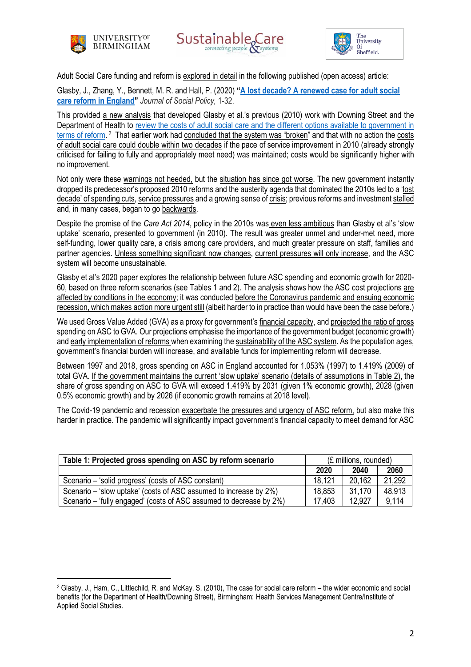





Adult Social Care funding and reform is explored in detail in the following published (open access) article:

Glasby, J., Zhang, Y., Bennett, M. R. and Hall, P. (2020) **"[A lost decade? A renewed case for adult social](https://www.cambridge.org/core/journals/journal-of-social-policy/article/lost-decade-a-renewed-case-for-adult-social-care-reform-in-england/6309C490CD09B4009F3369E2E5AEB1D9)  [care reform in England](https://www.cambridge.org/core/journals/journal-of-social-policy/article/lost-decade-a-renewed-case-for-adult-social-care-reform-in-england/6309C490CD09B4009F3369E2E5AEB1D9)"** *Journal of Social Policy,* 1-32.

This provided a new analysis that developed Glasby et al.'s previous (2010) work with Downing Street and the Department of Health to review the costs of adult social care and the different options available to government in [terms of reform.](https://www.birmingham.ac.uk/Documents/college-social-sciences/social-policy/HSMC/publications/2010/The-case-for-social-care-reform.pdf) <sup>2</sup> That earlier work had concluded that the system was "broken" and that with no action the costs of adult social care could double within two decades if the pace of service improvement in 2010 (already strongly criticised for failing to fully and appropriately meet need) was maintained; costs would be significantly higher with no improvement.

Not only were these warnings not heeded, but the situation has since got worse. The new government instantly dropped its predecessor's proposed 2010 reforms and the austerity agenda that dominated the 2010s led to a 'lost decade' of spending cuts, service pressures and a growing sense of crisis; previous reforms and investment stalled and, in many cases, began to go backwards.

Despite the promise of the *Care Act 2014*, policy in the 2010s was even less ambitious than Glasby et al's 'slow uptake' scenario, presented to government (in 2010). The result was greater unmet and under-met need, more self-funding, lower quality care, a crisis among care providers, and much greater pressure on staff, families and partner agencies. Unless something significant now changes, current pressures will only increase, and the ASC system will become unsustainable.

Glasby et al's 2020 paper explores the relationship between future ASC spending and economic growth for 2020- 60, based on three reform scenarios (see Tables 1 and 2). The analysis shows how the ASC cost projections are affected by conditions in the economy; it was conducted before the Coronavirus pandemic and ensuing economic recession, which makes action more urgent still (albeit harder to in practice than would have been the case before.)

We used Gross Value Added (GVA) as a proxy for government's financial capacity, and projected the ratio of gross spending on ASC to GVA. Our projections emphasise the importance of the government budget (economic growth) and early implementation of reforms when examining the sustainability of the ASC system. As the population ages, government's financial burden will increase, and available funds for implementing reform will decrease.

Between 1997 and 2018, gross spending on ASC in England accounted for 1.053% (1997) to 1.419% (2009) of total GVA. If the government maintains the current 'slow uptake' scenario (details of assumptions in Table 2), the share of gross spending on ASC to GVA will exceed 1.419% by 2031 (given 1% economic growth), 2028 (given 0.5% economic growth) and by 2026 (if economic growth remains at 2018 level).

The Covid-19 pandemic and recession exacerbate the pressures and urgency of ASC reform, but also make this harder in practice. The pandemic will significantly impact government's financial capacity to meet demand for ASC

| Table 1: Projected gross spending on ASC by reform scenario         | (£ millions, rounded) |        |        |
|---------------------------------------------------------------------|-----------------------|--------|--------|
|                                                                     | 2020                  | 2040   | 2060   |
| Scenario – 'solid progress' (costs of ASC constant)                 | 18.121                | 20.162 | 21.292 |
| Scenario – 'slow uptake' (costs of ASC assumed to increase by 2%)   | 18,853                | 31.170 | 48.913 |
| Scenario – 'fully engaged' (costs of ASC assumed to decrease by 2%) | 17.403                | 12.927 | 9,114  |

<sup>2</sup> Glasby, J., Ham, C., Littlechild, R. and McKay, S. (2010), The case for social care reform – the wider economic and social benefits (for the Department of Health/Downing Street), Birmingham: Health Services Management Centre/Institute of Applied Social Studies.